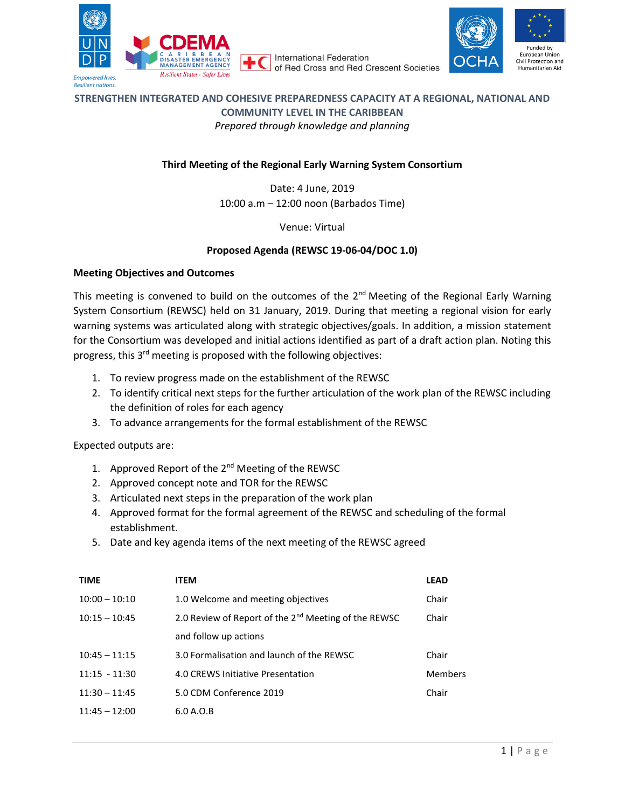

**International Federation** of Red Cross and Red Crescent Societies



# **STRENGTHEN INTEGRATED AND COHESIVE PREPAREDNESS CAPACITY AT A REGIONAL, NATIONAL AND COMMUNITY LEVEL IN THE CARIBBEAN** *Prepared through knowledge and planning*

## **Third Meeting of the Regional Early Warning System Consortium**

Date: 4 June, 2019 10:00 a.m – 12:00 noon (Barbados Time)

Venue: Virtual

## **Proposed Agenda (REWSC 19-06-04/DOC 1.0)**

#### **Meeting Objectives and Outcomes**

This meeting is convened to build on the outcomes of the  $2<sup>nd</sup>$  Meeting of the Regional Early Warning System Consortium (REWSC) held on 31 January, 2019. During that meeting a regional vision for early warning systems was articulated along with strategic objectives/goals. In addition, a mission statement for the Consortium was developed and initial actions identified as part of a draft action plan. Noting this progress, this 3rd meeting is proposed with the following objectives:

- 1. To review progress made on the establishment of the REWSC
- 2. To identify critical next steps for the further articulation of the work plan of the REWSC including the definition of roles for each agency
- 3. To advance arrangements for the formal establishment of the REWSC

### Expected outputs are:

- 1. Approved Report of the 2<sup>nd</sup> Meeting of the REWSC
- 2. Approved concept note and TOR for the REWSC
- 3. Articulated next steps in the preparation of the work plan
- 4. Approved format for the formal agreement of the REWSC and scheduling of the formal establishment.
- 5. Date and key agenda items of the next meeting of the REWSC agreed

| <b>TIME</b>     | <b>ITEM</b>                                                      | <b>LEAD</b> |
|-----------------|------------------------------------------------------------------|-------------|
| $10:00 - 10:10$ | 1.0 Welcome and meeting objectives                               | Chair       |
| $10:15 - 10:45$ | 2.0 Review of Report of the 2 <sup>nd</sup> Meeting of the REWSC | Chair       |
|                 | and follow up actions                                            |             |
| $10:45 - 11:15$ | 3.0 Formalisation and launch of the REWSC                        | Chair       |
| $11:15 - 11:30$ | 4.0 CREWS Initiative Presentation                                | Members     |
| $11:30 - 11:45$ | 5.0 CDM Conference 2019                                          | Chair       |
| $11:45 - 12:00$ | 6.0 A.0.B                                                        |             |